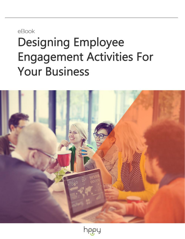eBook

# **Designing Employee Engagement Activities For Your Business**



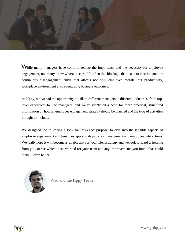

 $W$ hile many managers have come to realize the importance and the necessity for employee engagement, not many know where to start. It's often this blockage that leads to inaction and the continuous disengagement curve that affects not only employee morale, but productivity, workplace environment and, eventually, business outcomes.

At Hppy, we've had the opportunity to talk to different managers in different industries, from toplevel executives to line managers, and we've identified a need for more practical, structured information on how an employee engagement strategy should be planned and the type of activities it ought to include.

We designed the following eBook for this exact purpose, to dive into the tangible aspects of employee engagement and how they apply to day-to-day management and employee interactions. We really hope it will become a reliable ally for your talent strategy and we look forward to hearing from you, to see which ideas worked for your team and any improvements you found that could make it even better.



Vlad and the Hppy Team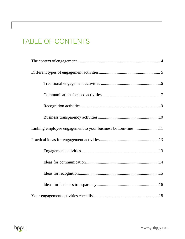# TABLE OF CONTENTS

| Linking employee engagement to your business bottom-line11 |
|------------------------------------------------------------|
|                                                            |
|                                                            |
|                                                            |
|                                                            |
|                                                            |
|                                                            |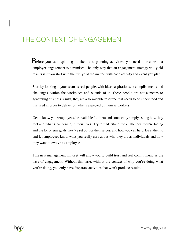# THE CONTEXT OF ENGAGEMENT

Before you start spinning numbers and planning activities, you need to realize that employee engagement is a mindset. The only way that an engagement strategy will yield results is if you start with the "why" of the matter, with each activity and event you plan.

Start by looking at your team as real people, with ideas, aspirations, accomplishments and challenges, within the workplace and outside of it. These people are not a means to generating business results, they are a formidable resource that needs to be understood and nurtured in order to deliver on what's expected of them as workers.

Get to know your employees, be available for them and connect by simply asking how they feel and what's happening in their lives. Try to understand the challenges they're facing and the long-term goals they've set out for themselves, and how you can help. Be authentic and let employees know what you really care about who they are as individuals and how they want to evolve as employees.

This new management mindset will allow you to build trust and real commitment, as the base of engagement. Without this base, without the context of why you're doing what you're doing, you only have disparate activities that won't produce results.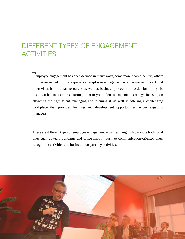# <span id="page-4-0"></span>DIFFERENT TYPES OF ENGAGEMENT **ACTIVITIES**

 $E_{\text{mployee engagement}}$  has been defined in many ways, some more people-centric, others business-oriented. In our experience, employee engagement is a pervasive concept that intertwines both human resources as well as business processes. In order for it to yield results, it has to become a starting point in your talent management strategy, focusing on attracting the right talent, managing and retaining it, as well as offering a challenging workplace that provides learning and development opportunities, under engaging managers.

There are different types of employee engagement activities, ranging from more traditional ones such as team buildings and office happy hours, to communication-oriented ones, recognition activities and business transparency activities.

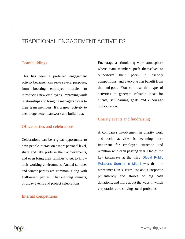### <span id="page-5-0"></span>**TRADITIONAL ENGAGEMENT ACTIVITIES**

### **Teambuildings**

This has been a preferred engagement activity because it can serve several purposes, from boosting employee morale, to introducing new employees, improving work relationships and bringing managers closer to their team members. It's a great activity to encourage better teamwork and build trust.

#### Office parties and celebrations

Celebrations can be a great opportunity to have people interact on a more personal level, share and take pride in their achievements, and even bring their families to get to know their working environment. Annual summer and winter parties are common, along with Halloween parties, Thanksgiving dinners, birthday events and project celebrations.

#### Internal competitions

Encourage a stimulating work atmosphere where team members push themselves to outperform their peers in friendly competitions, and everyone can benefit from the end-goal. You can use this type of activities to generate valuable ideas for clients, set learning goals and encourage collaboration.

#### Charity events and fundraising

A company's involvement in charity work and social activities is becoming more important for employee attraction and retention with each passing year. One of the key takeaways at the third **Global Public** [Relations Summit in Miami](http://www.holmesreport.com/news-info/15567/PRSummit-Millennials-Want-To-Know-How-Companies-Are-Solving-Social-Problems.aspx) was that the newcomer Gen Y cares less about corporate philanthropy and stories of big cash donations, and more about the ways in which corporations are solving social problems.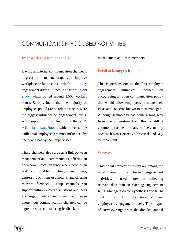### <span id="page-6-0"></span>COMMUNICATION-FOCUSED ACTIVITIES

#### Internal discussion channels

Having an internal communication channel is a great tool to encourage and improve workplace relationships, which is a key engagement driver. In fact, the [Simply Talent](https://www.oracle.com/emea/corporate/pressrelease/oracle-simply-talent-study-20150915.html)  [study](https://www.oracle.com/emea/corporate/pressrelease/oracle-simply-talent-study-20150915.html), which polled around 1,500 workers across Europe, found that the majority of employees polled (42%) felt their peers were the biggest influence on engagement levels. Also supporting this finding is the [2015](http://www.themillennialimpact.com/research/)  [Millennial Impact Report](http://www.themillennialimpact.com/research/), which reveals how Millennial employees are most influenced by peers, and not by their supervisors.

These channels also serve as a link between management and team members, offering an open communication space where people can feel comfortable pitching new ideas, expressing opinions or concerns, and offering relevant feedback. Group channels can support culture-related discussions and ideas exchanges, while individual and even anonymous communication channels can be a great resource in offering feedback to

management and team members.

#### Feedback/suggestion box

This is perhaps one of the first employee engagement initiatives, focused on encouraging an open communication policy that would allow employees to make their ideas and concerns known to their managers. Although technology has come a long way from the suggestion box, this is still a common practice in many offices, mainly because it's cost-effective, practical and easy to implement.

#### Surveys

Traditional employee surveys are among the most common employee engagement activities, focused more on collecting relevant data than on reaching engagement KPIs. Managers create hypotheses and try to confirm or infirm the state of their employees' engagement levels. These types of surveys range from the dreaded annual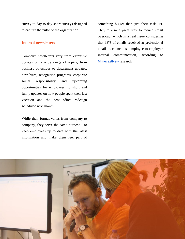survey to day-to-day short surveys designed to capture the pulse of the organization.

#### Internal newsletters

Company newsletters vary from extensive updates on a wide range of topics, from business objectives to department updates, new hires, recognition programs, corporate social responsibility and upcoming opportunities for employees, to short and funny updates on how people spent their last vacation and the new office redesign scheduled next month.

While their format varies from company to company, they serve the same purpose - to keep employees up to date with the latest information and make them feel part of

something bigger than just their task list. They're also a great way to reduce email overload, which is a real issue considering that 63% of emails received at professional email accounts is employee-to-employee internal communication, according to [MimecastNew](http://www.mimecast.com/) research.

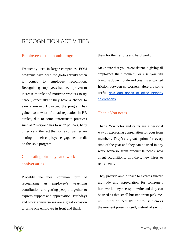### <span id="page-8-0"></span>**RECOGNITION ACTIVITIES**

#### Employee-of-the month programs

Frequently used in larger companies, EOM programs have been the go-to activity when it comes to employee recognition. Recognizing employees has been proven to increase morale and motivate workers to try harder, especially if they have a chance to earn a reward. However, the program has gained somewhat of a bad reputation in HR circles, due to some unfortunate practices such as "everyone has to win" policies, hazy criteria and the fact that some companies are betting all their employee engagement credit on this sole program.

### Celebrating birthdays and work anniversaries

Probably the most common form of recognizing an employee's year-long contribution and getting people together to express support and appreciation. Birthdays and work anniversaries are a great occasion to bring one employee in front and thank

them for their efforts and hard work.

Make sure that you're consistent in giving all employees their moment, or else you risk bringing down morale and creating unwanted friction between co-workers. Here are some useful [do's and don'ts of office birthday](http://www.shrm.org/hrdisciplines/employeerelations/articles/pages/workplace-birthdays.aspx)  [celebrations](http://www.shrm.org/hrdisciplines/employeerelations/articles/pages/workplace-birthdays.aspx).

#### Thank You notes

Thank You notes and cards are a personal way of expressing appreciation for your team members. They're a great option for every time of the year and they can be used in any work scenario, from product launches, new client acquisitions, birthdays, new hires or retirements.

They provide ample space to express sincere gratitude and appreciation for someone's hard work, they're easy to write and they can be used as that small but important pick-meup in times of need. It's best to use them as the moment presents itself, instead of saving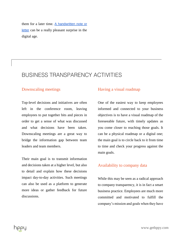them for a later time. [A handwritten note or](http://blog.gthankyou.com/tag/employee-thank-you-note/)  [letter](http://blog.gthankyou.com/tag/employee-thank-you-note/) can be a really pleasant surprise in the digital age.

### <span id="page-9-0"></span>**BUSINESS TRANSPARENCY ACTIVITIES**

#### Downscaling meetings

Top-level decisions and initiatives are often left in the conference room, leaving employees to put together bits and pieces in order to get a sense of what was discussed and what decisions have been taken. Downscaling meetings are a great way to bridge the information gap between team leaders and team members.

Their main goal is to transmit information and decisions taken at a higher level, but also to detail and explain how these decisions impact day-to-day activities. Such meetings can also be used as a platform to generate more ideas or gather feedback for future discussions.

### Having a visual roadmap

One of the easiest way to keep employees informed and connected to your business objectives is to have a visual roadmap of the foreseeable future, with timely updates as you come closer to reaching those goals. It can be a physical roadmap or a digital one; the main goal is to circle back to it from time to time and check your progress against the main goals.

### Availability to company data

While this may be seen as a radical approach to company transparency, it is in fact a smart business practice. Employees are much more committed and motivated to fulfill the company's mission and goals when they have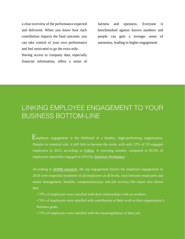a clear overview of the performance expected and delivered. When you know how each contribution impacts the final outcome, you can take control of your own performance and feel motivated to go the extra mile.

<span id="page-10-0"></span>Having access to company data, especially financial information, offers a sense of fairness and openness. Everyone is benchmarked against known numbers and people can gain a stronger sense of autonomy, leading to higher engagement.

# LINKING EMPLOYEE ENGAGEMENT TO YOUR **BUSINESS BOTTOM-LINE**

E mployee engagement is the lifeblood of a healthy, high-performing organization. Despite its essential role, it still fails to become the norm, with only 32% of US engaged employees in 2015, according to [Gallup](http://www.gallup.com/poll/186212/employee-engagement-steady-september.aspx?g_source=EMPLOYEE_ENGAGEMENT&g_medium=topic&g_campaign=tiles). A worrying number, compared to 65.9% of employees reportedly engaged in 2014 by [Quantum Workplace](http://www.quantumworkplace.com/resources/whitepapers/research-and-trends/2015-employee-engagement-trends-report/).

According to **[SHRM research](https://www.shrm.org/Research/SurveyFindings/Documents/2015-Job-Satisfaction-and-Engagement-Report.pdf)**, the top engagement factors for employee engagement in 2014 were respectful treatment of all employees at all levels, trust between employees and senior management, benefits, compensation/pay and job security.The report also shows that:

- 79% of employees were satisfied with their relationships with co-workers.
- 76% of employees were satisfied with contribution of their work to their organization's business goals.
- 75% of employees were satisfied with the meaningfulness of their job.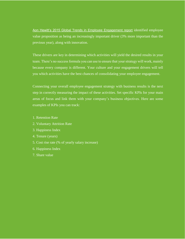[Aon Hewitt's 2015 Global Trends in Employee](http://www.aon.com/human-capital-consulting/thought-leadership/talent/2015-global-employee-engagement.jsp) Engagement report identified employee value proposition as being an increasingly important driver (3% more important than the previous year), along with innovation.

These drivers are key in determining which activities will yield the desired results in your team. There's no success formula you can use to ensure that your strategy will work, mainly because every company is different. Your culture and your engagement drivers will tell you which activities have the best chances of consolidating your employee engagement.

Connecting your overall employee engagement strategy with business results is the next step in correctly measuring the impact of these activities. Set specific KPIs for your main areas of focus and link them with your company's business objectives. Here are some examples of KPIs you can track:

- 1. Retention Rate
- 2. Voluntary Attrition Rate
- 3. Happiness Index
- 4. Tenure (years)
- 5. Cost rise rate (% of yearly salary increase)
- 6. Happiness Index
- <span id="page-11-0"></span>7. Share value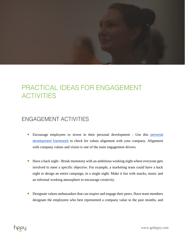

# PRACTICAL IDEAS FOR ENGAGEMENT **ACTIVITIES**

### <span id="page-12-0"></span>**ENGAGEMENT ACTIVITIES**

- Encourage employees to invest in their personal development Use this [personal](http://www.gethppy.com/employee-engagement/who-am-i-personal-development-framework-for-employees)  [development framework](http://www.gethppy.com/employee-engagement/who-am-i-personal-development-framework-for-employees) to check for values alignment with your company. Alignment with company values and vision is one of the main engagement drivers.
- Have a hack night Break monotony with an ambitious working night where everyone gets involved to meet a specific objective. For example, a marketing team could have a hack night to design an entire campaign, in a single night. Make it fun with snacks, music and an informal working atmosphere to encourage creativity.
- Designate values ambassadors that can inspire and engage their peers. Have team members designate the employees who best represented a company value in the past months, and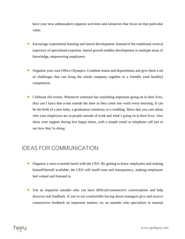have your new ambassadors organize activities and initiatives that focus on that particular value.

- Encourage experiential learning and lateral development. Instead of the traditional vertical trajectory of specialized expertise, lateral growth enables development in multiple areas of knowledge, empowering employees.
- Organize your own Office Olympics. Combine teams and departments and give them a set of challenges that can bring the whole company together in a friendly (and healthy) competition.
- Celebrate life events. Whenever someone has something important going on in their lives, they can't leave that event outside the door as they come into work every morning. It can be the birth of a new baby, a graduation ceremony or a wedding. Show that you care about who your employees are as people outside of work and what's going on in their lives. Also show your support during less happy times, with a simple email or telephone call just to see how they're doing.

### <span id="page-13-0"></span>**IDEAS FOR COMMUNICATION**

- Organize a once-a-month lunch with the CEO. By getting to know employees and making himself/herself available, the CEO will instill trust and transparency, making employees feel valued and listened to.
- Use an impartial outsider who can have difficult/constructive conversations and help discover real feedback. If you're not comfortable having direct managers give and receive constructive feedback on important matters, try an outsider who specializes in internal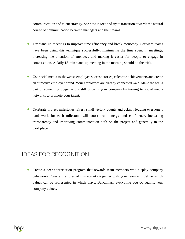communication and talent strategy. See how it goes and try to transition towards the natural course of communication between managers and their teams.

- Try stand up meetings to improve time efficiency and break monotony. Software teams have been using this technique successfully, minimizing the time spent in meetings, increasing the attention of attendees and making it easier for people to engage in conversation. A daily 15-min stand-up meeting in the morning should do the trick.
- Use social media to showcase employee success stories, celebrate achievements and create an attractive employer brand. Your employees are already connected 24/7. Make the feel a part of something bigger and instill pride in your company by turning to social media networks to promote your talent.
- Celebrate project milestones. Every small victory counts and acknowledging everyone's hard work for each milestone will boost team energy and confidence, increasing transparency and improving communication both on the project and generally in the workplace.

### <span id="page-14-0"></span>**IDEAS FOR RECOGNITION**

• Create a peer-appreciation program that rewards team members who display company behaviours. Create the rules of this activity together with your team and define which values can be represented in which ways. Benchmark everything you do against your company values.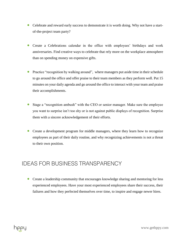- Celebrate and reward early success to demonstrate it is worth doing. Why not have a startof-the-project team party?
- Create a Celebrations calendar in the office with employees' birthdays and work anniversaries. Find creative ways to celebrate that rely more on the workplace atmosphere than on spending money on expensive gifts.
- Practice "recognition by walking around", where managers put aside time in their schedule to go around the office and offer praise to their team members as they perform well. Put 15 minutes on your daily agenda and go around the office to interact with your team and praise their accomplishments.
- Stage a "recognition ambush" with the CEO or senior manager. Make sure the employee you want to surprise isn't too shy or is not against public displays of recognition. Surprise them with a sincere acknowledgement of their efforts.
- Create a development program for middle managers, where they learn how to recognize employees as part of their daily routine, and why recognizing achievements is not a threat to their own position.

### <span id="page-15-0"></span>**IDEAS FOR BUSINESS TRANSPARENCY**

• Create a leadership community that encourages knowledge sharing and mentoring for less experienced employees. Have your most experienced employees share their success, their failures and how they perfected themselves over time, to inspire and engage newer hires.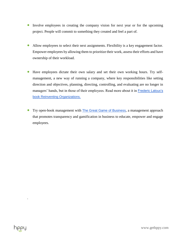- Involve employees in creating the company vision for next year or for the upcoming project. People will commit to something they created and feel a part of.
- Allow employees to select their next assignments. Flexibility is a key engagement factor. Empower employees by allowing them to prioritize their work, assess their efforts and have ownership of their workload.
- Have employees dictate their own salary and set their own working hours. Try selfmanagement, a new way of running a company, where key responsibilities like setting direction and objectives, planning, directing, controlling, and evaluating are no longer in managers' hands, but in those of their employees. Read more about it in Frederic Laloux's [book Reinventing Organizations.](http://www.reinventingorganizations.com/)
- Try open-book management with [The Great Game of Business](http://greatgame.com/), a management approach that promotes transparency and gamification in business to educate, empower and engage employees.

.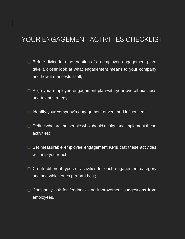# <span id="page-17-0"></span>YOUR ENGAGEMENT ACTIVITIES CHECKLIST

- $\Box$  Before diving into the creation of an employee engagement plan, take a closer look at what engagement means to your company and how it manifests itself;
- $\Box$  Align your employee engagement plan with your overall business and talent strategy;
- $\Box$  Identify your company's engagement drivers and influencers;
- $\Box$  Define who are the people who should design and implement these activities;
- $\Box$  Set measurable employee engagement KPIs that these activities will help you reach;
- $\Box$  Create different types of activities for each engagement category and see which ones perform best;
- $\Box$  Constantly ask for feedback and improvement suggestions from employees.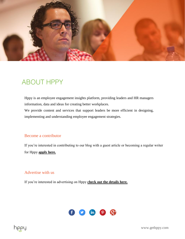

# **ABOUT HPPY**

Hppy is an employee engagement insights platform, providing leaders and HR managers information, data and ideas for creating better workplaces.

We provide content and services that support leaders be more efficient in designing, implementing and understanding employee engagement strategies.

### Become a contributor

If you're interested in contributing to our blog with a guest article or becoming a regular writer for Hppy **[apply](http://www.gethppy.com/become-contributor-hr-hppy) here.**

### Advertise with us

If you're interested in advertising on Hppy **[check out the details here.](http://www.gethppy.com/advertise-with-hppy)**